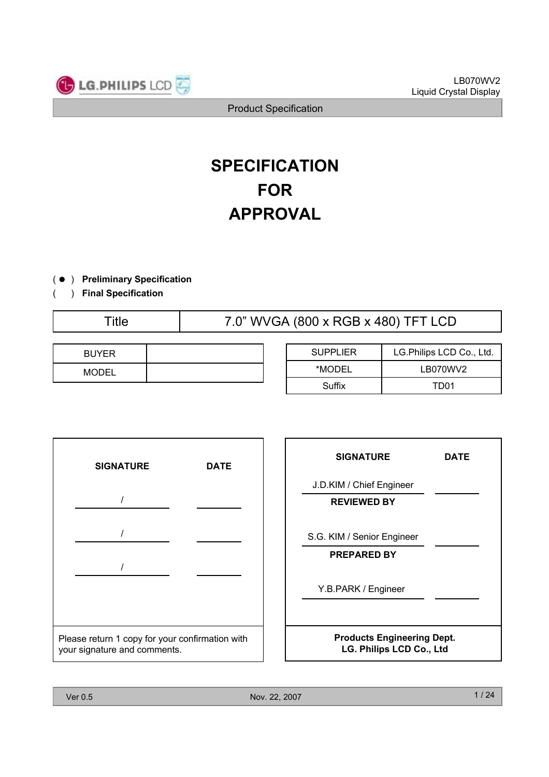

# **SPECIFICATION FOR APPROVAL**

- ) ( **Preliminary Specification**
- ) **Final Specification** (

Title 7.0" WVGA (800 x RGB x 480) TFT LCD

| <b>BUYER</b> |  |
|--------------|--|
| <b>MODEL</b> |  |

| <b>SUPPLIER</b> | LG.Philips LCD Co., Ltd. |  |  |
|-----------------|--------------------------|--|--|
| *MODEL          | LB070WV2                 |  |  |
| Suffix          | TD <sub>01</sub>         |  |  |

| <b>SIGNATURE</b>                                                                | <b>DATE</b> |  |  |  |  |
|---------------------------------------------------------------------------------|-------------|--|--|--|--|
|                                                                                 |             |  |  |  |  |
|                                                                                 |             |  |  |  |  |
|                                                                                 |             |  |  |  |  |
|                                                                                 |             |  |  |  |  |
| Please return 1 copy for your confirmation with<br>your signature and comments. |             |  |  |  |  |

| <b>SIGNATURE</b>                                              | DATE |  |  |  |  |
|---------------------------------------------------------------|------|--|--|--|--|
| J.D.KIM / Chief Engineer                                      |      |  |  |  |  |
| <b>REVIEWED BY</b>                                            |      |  |  |  |  |
| S.G. KIM / Senior Engineer                                    |      |  |  |  |  |
| <b>PREPARED BY</b>                                            |      |  |  |  |  |
| Y.B.PARK / Engineer                                           |      |  |  |  |  |
| <b>Products Engineering Dept.</b><br>LG. Philips LCD Co., Ltd |      |  |  |  |  |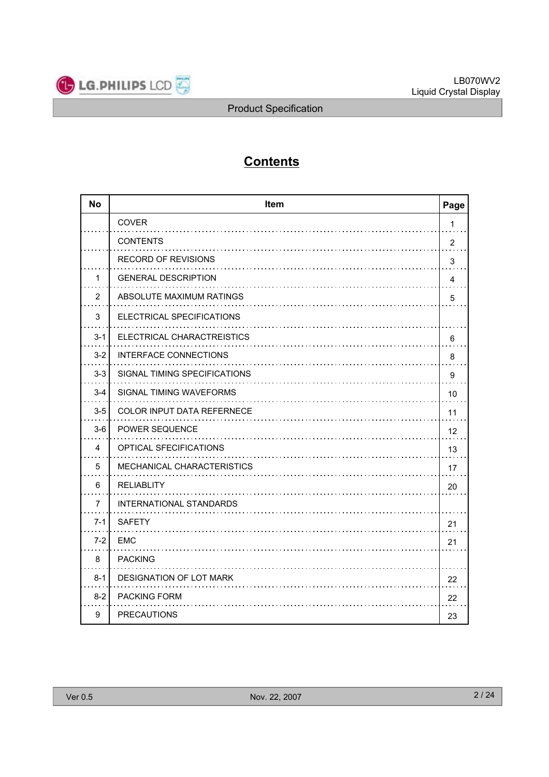

# **Contents**

| <b>No</b>      | Item<br>Page                 |                |  |  |  |  |
|----------------|------------------------------|----------------|--|--|--|--|
|                | <b>COVER</b>                 | 1              |  |  |  |  |
|                | <b>CONTENTS</b>              | $\overline{2}$ |  |  |  |  |
|                | <b>RECORD OF REVISIONS</b>   | 3              |  |  |  |  |
| 1              | <b>GENERAL DESCRIPTION</b>   | 4              |  |  |  |  |
| $\overline{2}$ | ABSOLUTE MAXIMUM RATINGS     | 5              |  |  |  |  |
| 3              | ELECTRICAL SPECIFICATIONS    |                |  |  |  |  |
| $3 - 1$        | ELECTRICAL CHARACTREISTICS   | 6              |  |  |  |  |
| $3 - 2$        | <b>INTERFACE CONNECTIONS</b> | 8              |  |  |  |  |
| $3 - 3$        | SIGNAL TIMING SPECIFICATIONS | 9              |  |  |  |  |
| $3 - 4$        | SIGNAL TIMING WAVEFORMS      | 10             |  |  |  |  |
| $3-5$          | COLOR INPUT DATA REFERNECE   | 11             |  |  |  |  |
| $3-6$          | <b>POWER SEQUENCE</b>        | 12             |  |  |  |  |
| 4              | OPTICAL SFECIFICATIONS       | 13             |  |  |  |  |
| 5              | MECHANICAL CHARACTERISTICS   | 17             |  |  |  |  |
| 6              | <b>RELIABLITY</b>            | 20             |  |  |  |  |
| $\overline{7}$ | INTERNATIONAL STANDARDS      |                |  |  |  |  |
| $7 - 1$        | <b>SAFETY</b>                | 21             |  |  |  |  |
| $7-2$          | <b>EMC</b>                   | 21             |  |  |  |  |
| 8              | <b>PACKING</b>               |                |  |  |  |  |
| $8 - 1$        | DESIGNATION OF LOT MARK      | 22             |  |  |  |  |
| $8-2$          | PACKING FORM                 | 22             |  |  |  |  |
| 9              | <b>PRECAUTIONS</b>           | 23             |  |  |  |  |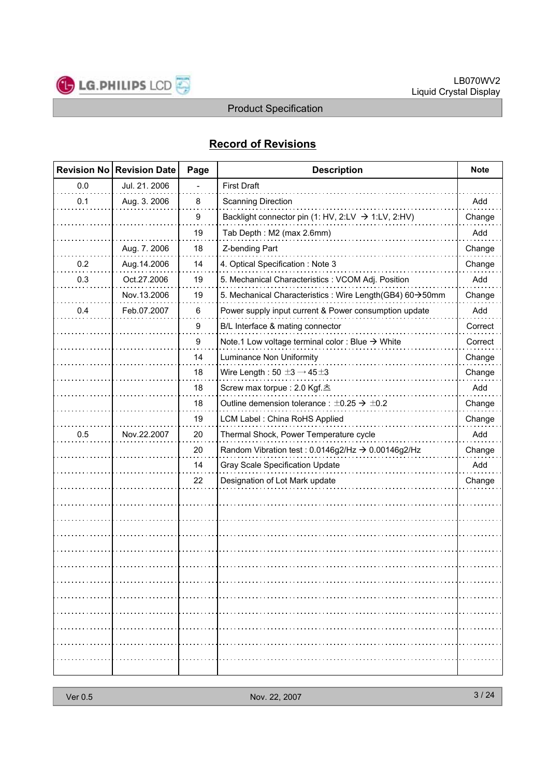

# **Record of Revisions**

|     | <b>Revision No Revision Date</b> | Page | <b>Description</b>                                             |         |
|-----|----------------------------------|------|----------------------------------------------------------------|---------|
| 0.0 | Jul. 21. 2006                    |      | <b>First Draft</b>                                             |         |
| 0.1 | Aug. 3. 2006                     | 8    | <b>Scanning Direction</b>                                      | Add     |
|     |                                  | 9    | Backlight connector pin (1: HV, 2:LV $\rightarrow$ 1:LV, 2:HV) | Change  |
|     |                                  | 19   | Tab Depth: M2 (max 2.6mm)                                      | Add     |
|     | Aug. 7. 2006                     | 18   | Z-bending Part                                                 | Change  |
| 0.2 | Aug.14.2006                      | 14   | 4. Optical Specification : Note 3                              | Change  |
| 0.3 | Oct.27.2006                      | 19   | 5. Mechanical Characteristics : VCOM Adj. Position             | Add     |
|     | Nov.13.2006                      | 19   | 5. Mechanical Characteristics : Wire Length(GB4) 60->50mm      | Change  |
| 0.4 | Feb.07.2007                      | 6    | Power supply input current & Power consumption update          | Add     |
|     |                                  | 9    | B/L Interface & mating connector                               | Correct |
|     |                                  | 9    | Note.1 Low voltage terminal color : Blue $\rightarrow$ White   | Correct |
|     |                                  | 14   | Luminance Non Uniformity                                       | Change  |
|     |                                  | 18   | Wire Length: $50 \pm 3 \rightarrow 45 \pm 3$                   | Change  |
|     |                                  | 18   | Screw max torpue : 2.0 Kgf. 츠                                  | Add     |
|     |                                  | 18   | Outline demension tolerance : $\pm 0.25 \rightarrow \pm 0.2$   | Change  |
|     |                                  | 19   | LCM Label: China RoHS Applied                                  | Change  |
| 0.5 | Nov.22.2007                      | 20   | Thermal Shock, Power Temperature cycle                         | Add     |
|     |                                  | 20   | Random Vibration test : 0.0146g2/Hz → 0.00146g2/Hz             | Change  |
|     |                                  | 14   | Gray Scale Specification Update                                | Add     |
|     |                                  | 22   | Designation of Lot Mark update                                 | Change  |
|     |                                  |      |                                                                |         |
|     |                                  |      |                                                                |         |
|     |                                  |      |                                                                |         |
|     |                                  |      |                                                                |         |
|     |                                  |      |                                                                |         |
|     |                                  |      |                                                                |         |
|     |                                  |      |                                                                |         |
|     |                                  |      |                                                                |         |
|     |                                  |      |                                                                |         |
|     |                                  |      |                                                                |         |
|     |                                  |      |                                                                |         |
|     |                                  |      |                                                                |         |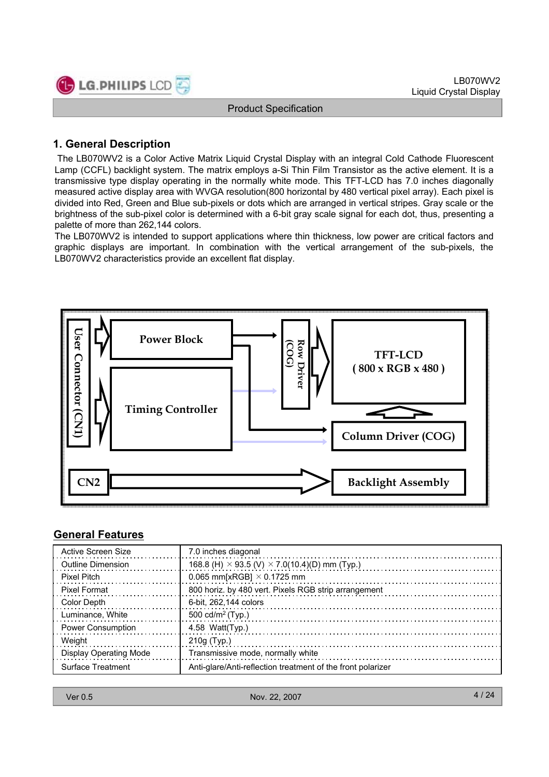

# **1. General Description**

The LB070WV2 is a Color Active Matrix Liquid Crystal Display with an integral Cold Cathode Fluorescent Lamp (CCFL) backlight system. The matrix employs a-Si Thin Film Transistor as the active element. It is a transmissive type display operating in the normally white mode. This TFT-LCD has 7.0 inches diagonally measured active display area with WVGA resolution(800 horizontal by 480 vertical pixel array). Each pixel is divided into Red, Green and Blue sub-pixels or dots which are arranged in vertical stripes. Gray scale or the brightness of the sub-pixel color is determined with a 6-bit gray scale signal for each dot, thus, presenting a palette of more than 262,144 colors.

The LB070WV2 is intended to support applications where thin thickness, low power are critical factors and graphic displays are important. In combination with the vertical arrangement of the sub-pixels, the LB070WV2 characteristics provide an excellent flat display.



#### **General Features**

| Active Screen Size            | 7.0 inches diagonal                                         |
|-------------------------------|-------------------------------------------------------------|
| Outline Dimension             | 168.8 (H) $\times$ 93.5 (V) $\times$ 7.0(10.4)(D) mm (Typ.) |
| <b>Pixel Pitch</b>            | 0.065 mm[xRGB] $\times$ 0.1725 mm                           |
| <b>Pixel Format</b>           | 800 horiz. by 480 vert. Pixels RGB strip arrangement        |
| Color Depth                   | 6-bit, 262,144 colors                                       |
| Luminance, White              | 500 cd/m <sup>2</sup> (Typ.)                                |
| <b>Power Consumption</b>      | 4.58 Watt $(Tvp.)$                                          |
| Weight                        | $210q$ (Typ.)                                               |
| <b>Display Operating Mode</b> | Transmissive mode, normally white                           |
| Surface Treatment             | Anti-glare/Anti-reflection treatment of the front polarizer |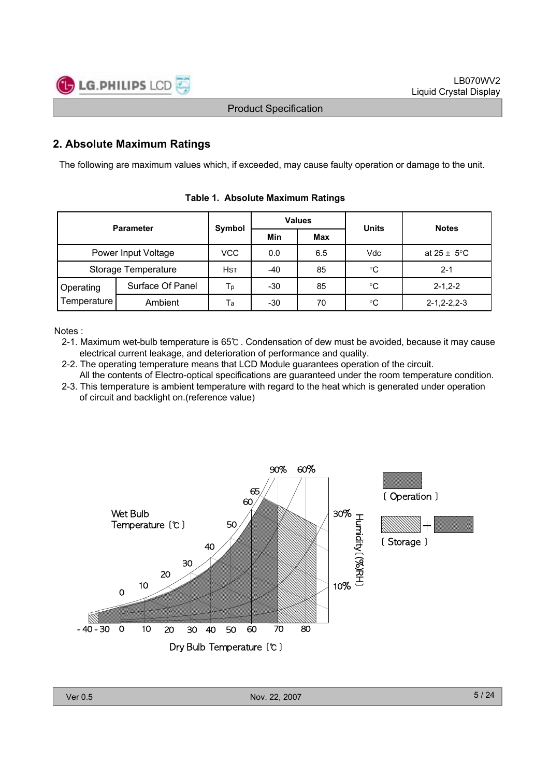

# **2. Absolute Maximum Ratings**

The following are maximum values which, if exceeded, may cause faulty operation or damage to the unit.

| <b>Parameter</b>    |                     | Symbol     | <b>Values</b> |     | <b>Units</b> | <b>Notes</b>            |  |
|---------------------|---------------------|------------|---------------|-----|--------------|-------------------------|--|
|                     |                     |            | Min           | Max |              |                         |  |
|                     | Power Input Voltage | VCC        | 0.0           | 6.5 | Vdc          | at $25 \pm 5^{\circ}$ C |  |
| Storage Temperature |                     | <b>HST</b> | -40           | 85  | °C           | $2 - 1$                 |  |
| Operating           | Surface Of Panel    | Тp         | -30           | 85  | $^{\circ}C$  | $2 - 1.2 - 2$           |  |
| Temperature         | Ambient             | Ta         | $-30$         | 70  | $^{\circ}C$  | $2 - 1, 2 - 2, 2 - 3$   |  |

**Table 1. Absolute Maximum Ratings**

Notes :

- 2-1. Maximum wet-bulb temperature is 65℃ . Condensation of dew must be avoided, because it may cause electrical current leakage, and deterioration of performance and quality.
- 2-2. The operating temperature means that LCD Module guarantees operation of the circuit.
- All the contents of Electro-optical specifications are guaranteed under the room temperature condition. 2-3. This temperature is ambient temperature with regard to the heat which is generated under operation of circuit and backlight on.(reference value)

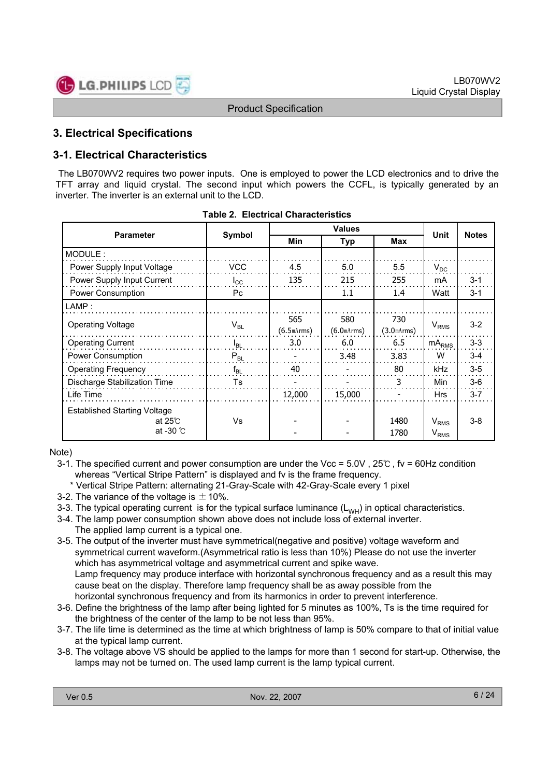

# **3. Electrical Specifications**

# **3-1. Electrical Characteristics**

The LB070WV2 requires two power inputs. One is employed to power the LCD electronics and to drive the TFT array and liquid crystal. The second input which powers the CCFL, is typically generated by an inverter. The inverter is an external unit to the LCD.

| <b>Parameter</b>                                                             |              |                   | <b>Unit</b>                    |                                |                               |              |
|------------------------------------------------------------------------------|--------------|-------------------|--------------------------------|--------------------------------|-------------------------------|--------------|
|                                                                              | Symbol       | Min               | <b>Typ</b>                     |                                |                               | <b>Notes</b> |
| MODULE:                                                                      |              |                   |                                |                                |                               |              |
| Power Supply Input Voltage                                                   | <b>VCC</b>   | 4.5               | 5.0                            | 5.5                            | $V_{DC}$                      |              |
| Power Supply Input Current                                                   | $I_{\rm CC}$ | 135               | 215                            | 255                            | mA                            | $3 - 1$      |
| Power Consumption                                                            | Pc           |                   | 1.1                            | 1.4                            | Watt                          | $3 - 1$      |
| LAMP:                                                                        |              |                   |                                |                                |                               |              |
| <b>Operating Voltage</b>                                                     | $V_{BL}$     | 565<br>(6.5mArms) | 580<br>(6.0 <sub>mArms</sub> ) | 730<br>(3.0 <sub>mArms</sub> ) | V <sub>RMS</sub>              | $3 - 2$      |
| <b>Operating Current</b>                                                     | $I_{BL}$     | 3.0               | 6.0                            | 6.5                            | $mA_{RMS}$                    | $3-3$        |
| <b>Power Consumption</b>                                                     | $P_{BL}$     |                   | 3.48                           | 3.83                           | W                             | $3-4$        |
| <b>Operating Frequency</b>                                                   | $f_{BL}$     | 40                |                                | 80                             | kHz                           | $3-5$        |
| Discharge Stabilization Time                                                 | Ts           |                   |                                | 3                              | <b>Min</b>                    | $3-6$        |
| Life Time                                                                    |              | 12,000            | 15,000                         |                                | <b>Hrs</b>                    | $3 - 7$      |
| <b>Established Starting Voltage</b><br>at 25 $\degree$<br>at -30 $\degree$ C | Vs           |                   |                                | 1480<br>1780                   | $V_{RMS}$<br>V <sub>RMS</sub> | $3-8$        |

|  | Table 2.  Electrical Characteristics |
|--|--------------------------------------|
|  |                                      |

Note)

- 3-1. The specified current and power consumption are under the Vcc =  $5.0V$ ,  $25^\circ$ , fv = 60Hz condition whereas "Vertical Stripe Pattern" is displayed and fv is the frame frequency.
- \* Vertical Stripe Pattern: alternating 21-Gray-Scale with 42-Gray-Scale every 1 pixel
- 3-2. The variance of the voltage is  $\pm$  10%.
- 3-3. The typical operating current is for the typical surface luminance  $(L_{WH})$  in optical characteristics.
- 3-4. The lamp power consumption shown above does not include loss of external inverter. The applied lamp current is a typical one.
- 3-5. The output of the inverter must have symmetrical(negative and positive) voltage waveform and symmetrical current waveform.(Asymmetrical ratio is less than 10%) Please do not use the inverter which has asymmetrical voltage and asymmetrical current and spike wave. Lamp frequency may produce interface with horizontal synchronous frequency and as a result this may cause beat on the display. Therefore lamp frequency shall be as away possible from the horizontal synchronous frequency and from its harmonics in order to prevent interference.
- 3-6. Define the brightness of the lamp after being lighted for 5 minutes as 100%, Ts is the time required for the brightness of the center of the lamp to be not less than 95%.
- 3-7. The life time is determined as the time at which brightness of lamp is 50% compare to that of initial value at the typical lamp current.
- 3-8. The voltage above VS should be applied to the lamps for more than 1 second for start-up. Otherwise, the lamps may not be turned on. The used lamp current is the lamp typical current.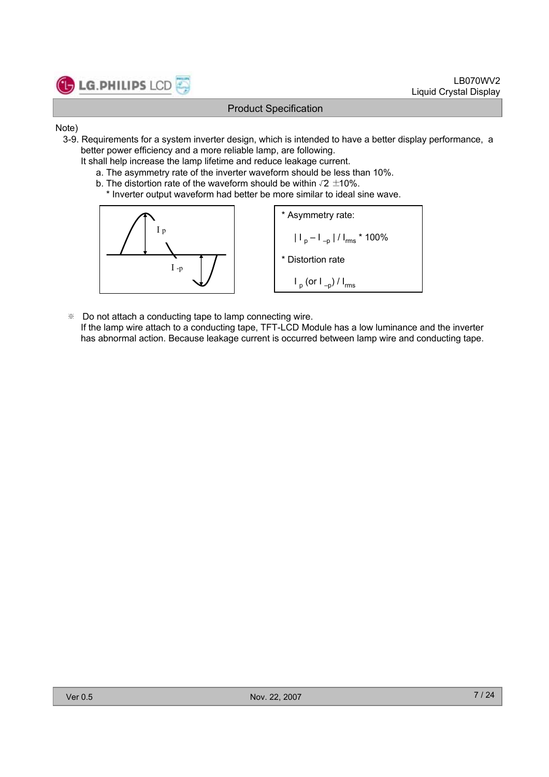

- Note)
	- 3-9. Requirements for a system inverter design, which is intended to have a better display performance, a better power efficiency and a more reliable lamp, are following.
		- It shall help increase the lamp lifetime and reduce leakage current.
			- a. The asymmetry rate of the inverter waveform should be less than 10%.
			- b. The distortion rate of the waveform should be within  $\sqrt{2} \pm 10\%$ .
				- \* Inverter output waveform had better be more similar to ideal sine wave.



\* Asymmetry rate:  
\n
$$
|I_{p}-I_{-p}|/I_{rms} \times 100\%
$$
\n\* Distortion rate  
\n
$$
I_{p} (or I_{-p})/I_{rms}
$$

- ※ Do not attach a conducting tape to lamp connecting wire.
	- If the lamp wire attach to a conducting tape, TFT-LCD Module has a low luminance and the inverter has abnormal action. Because leakage current is occurred between lamp wire and conducting tape.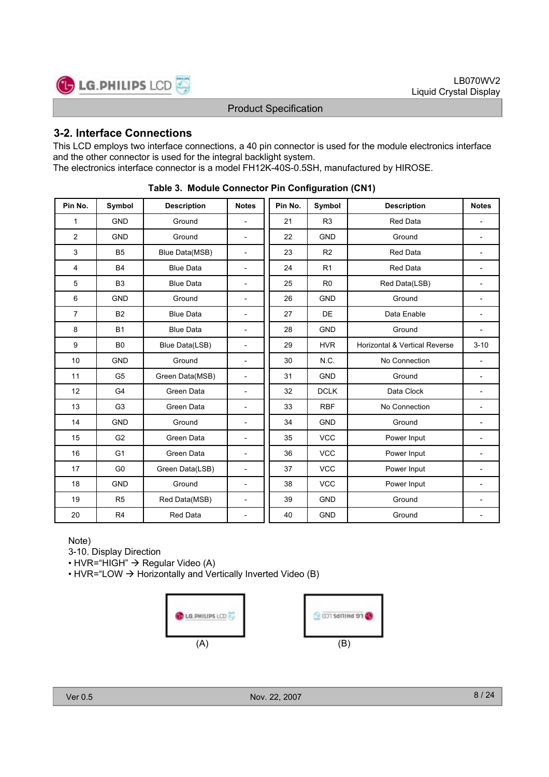

# **3-2. Interface Connections**

This LCD employs two interface connections, a 40 pin connector is used for the module electronics interface and the other connector is used for the integral backlight system. The electronics interface connector is a model FH12K-40S-0.5SH, manufactured by HIROSE.

| Pin No.        | Symbol         | <b>Description</b> | <b>Notes</b>             | Pin No. | Symbol         | <b>Description</b>            | <b>Notes</b> |
|----------------|----------------|--------------------|--------------------------|---------|----------------|-------------------------------|--------------|
| 1              | <b>GND</b>     | Ground             | $\overline{\phantom{a}}$ | 21      | R <sub>3</sub> | <b>Red Data</b>               |              |
| 2              | <b>GND</b>     | Ground             | $\overline{\phantom{a}}$ | 22      | <b>GND</b>     | Ground                        |              |
| 3              | <b>B5</b>      | Blue Data(MSB)     | $\overline{\phantom{a}}$ | 23      | R <sub>2</sub> | <b>Red Data</b>               |              |
| 4              | <b>B4</b>      | <b>Blue Data</b>   | $\overline{\phantom{a}}$ | 24      | R <sub>1</sub> | Red Data                      |              |
| 5              | B <sub>3</sub> | <b>Blue Data</b>   | $\overline{\phantom{a}}$ | 25      | R <sub>0</sub> | Red Data(LSB)                 |              |
| 6              | <b>GND</b>     | Ground             | $\overline{\phantom{a}}$ | 26      | <b>GND</b>     | Ground                        |              |
| $\overline{7}$ | <b>B2</b>      | <b>Blue Data</b>   | $\blacksquare$           | 27      | <b>DE</b>      | Data Enable                   |              |
| 8              | <b>B1</b>      | <b>Blue Data</b>   | $\overline{\phantom{a}}$ | 28      | <b>GND</b>     | Ground                        |              |
| 9              | B <sub>0</sub> | Blue Data(LSB)     | $\overline{\phantom{a}}$ | 29      | <b>HVR</b>     | Horizontal & Vertical Reverse | $3 - 10$     |
| 10             | <b>GND</b>     | Ground             | $\overline{\phantom{a}}$ | 30      | N.C.           | No Connection                 |              |
| 11             | G <sub>5</sub> | Green Data(MSB)    | $\overline{\phantom{a}}$ | 31      | <b>GND</b>     | Ground                        |              |
| 12             | G4             | Green Data         | $\overline{\phantom{a}}$ | 32      | <b>DCLK</b>    | Data Clock                    |              |
| 13             | G <sub>3</sub> | Green Data         | $\overline{\phantom{a}}$ | 33      | <b>RBF</b>     | No Connection                 |              |
| 14             | <b>GND</b>     | Ground             | $\overline{\phantom{a}}$ | 34      | <b>GND</b>     | Ground                        |              |
| 15             | G <sub>2</sub> | Green Data         | $\overline{\phantom{a}}$ | 35      | <b>VCC</b>     | Power Input                   |              |
| 16             | G <sub>1</sub> | Green Data         | $\blacksquare$           | 36      | <b>VCC</b>     | Power Input                   |              |
| 17             | G <sub>0</sub> | Green Data(LSB)    | $\overline{\phantom{a}}$ | 37      | <b>VCC</b>     | Power Input                   |              |
| 18             | <b>GND</b>     | Ground             | $\overline{\phantom{a}}$ | 38      | <b>VCC</b>     | Power Input                   |              |
| 19             | R <sub>5</sub> | Red Data(MSB)      | $\overline{\phantom{a}}$ | 39      | <b>GND</b>     | Ground                        |              |
| 20             | R <sub>4</sub> | <b>Red Data</b>    | $\overline{\phantom{0}}$ | 40      | <b>GND</b>     | Ground                        |              |

**Table 3. Module Connector Pin Configuration (CN1)**

Note)

3-10. Display Direction

 $\cdot$  HVR="HIGH"  $\rightarrow$  Regular Video (A)

• HVR="LOW  $\rightarrow$  Horizontally and Vertically Inverted Video (B)

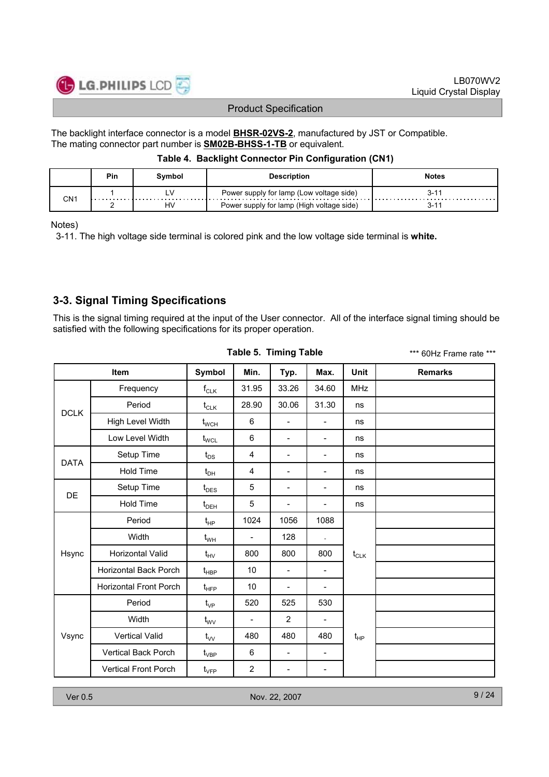

The backlight interface connector is a model **BHSR-02VS-2**, manufactured by JST or Compatible. The mating connector part number is **SM02B-BHSS-1-TB** or equivalent.

#### **Table 4. Backlight Connector Pin Configuration (CN1)**

|     | Pin | Svmbol | <b>Description</b>                        | <b>Notes</b> |
|-----|-----|--------|-------------------------------------------|--------------|
| CN1 | .   |        | Power supply for lamp (Low voltage side)  | 3-11<br>.    |
|     |     | H٧     | Power supply for lamp (High voltage side) | 3-11         |

Notes)

3-11. The high voltage side terminal is colored pink and the low voltage side terminal is **white.**

# **3-3. Signal Timing Specifications**

This is the signal timing required at the input of the User connector. All of the interface signal timing should be satisfied with the following specifications for its proper operation.

|             |                               |                                      |                          | <b>Table 5. Timing Table</b> |                          |             | *** 60Hz Frame rate *** |
|-------------|-------------------------------|--------------------------------------|--------------------------|------------------------------|--------------------------|-------------|-------------------------|
|             | <b>Item</b>                   | Symbol                               | Min.                     | Typ.                         | Max.                     | <b>Unit</b> | <b>Remarks</b>          |
|             | Frequency                     | $f_{CLK}$                            | 31.95                    | 33.26                        | 34.60                    | <b>MHz</b>  |                         |
| <b>DCLK</b> | Period                        | $t_{CLK}$                            | 28.90                    | 30.06                        | 31.30                    | ns          |                         |
|             | High Level Width              | $t_{\text{WCH}}$                     | 6                        | $\overline{\phantom{a}}$     | $\blacksquare$           | ns          |                         |
|             | Low Level Width               | $t_{\text{WCL}}$                     | 6                        | $\overline{\phantom{a}}$     | $\overline{\phantom{a}}$ | ns          |                         |
| <b>DATA</b> | Setup Time                    | $t_{DS}$                             | $\overline{4}$           | $\overline{\phantom{a}}$     | $\overline{\phantom{a}}$ | ns          |                         |
|             | <b>Hold Time</b>              | $t_{\text{DH}}$                      | 4                        | $\frac{1}{2}$                | $\overline{\phantom{0}}$ | ns          |                         |
| DE          | Setup Time                    | $t_{\text{DES}}$                     | 5                        | $\overline{\phantom{0}}$     | $\qquad \qquad -$        | ns          |                         |
|             | <b>Hold Time</b>              | $t_{DEH}$                            | 5                        | $\overline{\phantom{a}}$     | $\overline{\phantom{a}}$ | ns          |                         |
|             | Period                        | $t_{HP}$                             | 1024                     | 1056                         | 1088                     |             |                         |
|             | Width                         | $t_{WH}$                             | $\overline{\phantom{a}}$ | 128                          | $\mathbf{r}$             |             |                         |
| Hsync       | <b>Horizontal Valid</b>       | $t_{HV}$                             | 800                      | 800                          | 800                      | $t_{CLK}$   |                         |
|             | Horizontal Back Porch         | $t_{\sf HBP}$                        | 10                       | $\overline{\phantom{a}}$     | $\overline{\phantom{a}}$ |             |                         |
|             | <b>Horizontal Front Porch</b> | $t_{\text{HFP}}$                     | 10                       | $\overline{\phantom{a}}$     | $\overline{\phantom{a}}$ |             |                         |
|             | Period                        | $t_{\rm VP}$                         | 520                      | 525                          | 530                      |             |                         |
|             | Width                         | $t_{\text{WV}}$                      | $\overline{\phantom{0}}$ | $\overline{2}$               | $\overline{\phantom{a}}$ |             |                         |
| Vsync       | <b>Vertical Valid</b>         | $t_{VV}$                             | 480                      | 480                          | 480                      | $t_{HP}$    |                         |
|             | Vertical Back Porch           | $t_{\scriptscriptstyle\mathrm{VBP}}$ | 6                        | $\overline{\phantom{a}}$     | $\overline{\phantom{a}}$ |             |                         |
|             | <b>Vertical Front Porch</b>   | $\mathfrak{t}_{\mathsf{VFP}}$        | $\overline{2}$           | $\overline{\phantom{a}}$     | $\overline{\phantom{a}}$ |             |                         |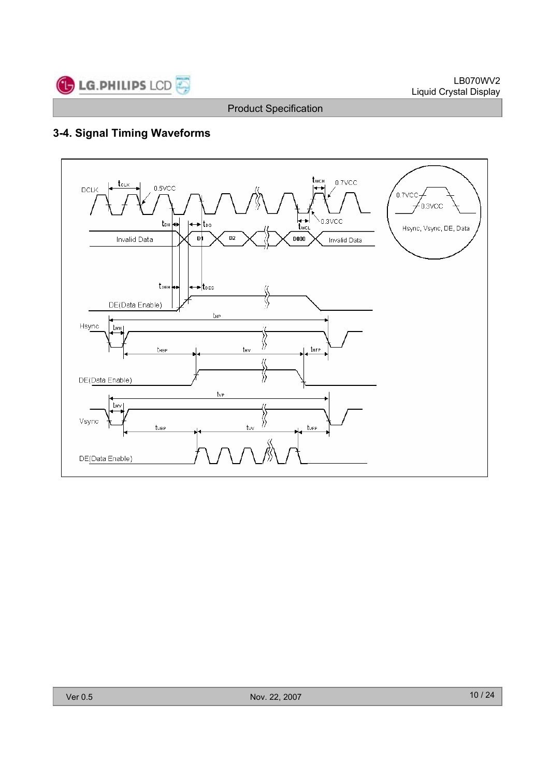

# **3-4. Signal Timing Waveforms**

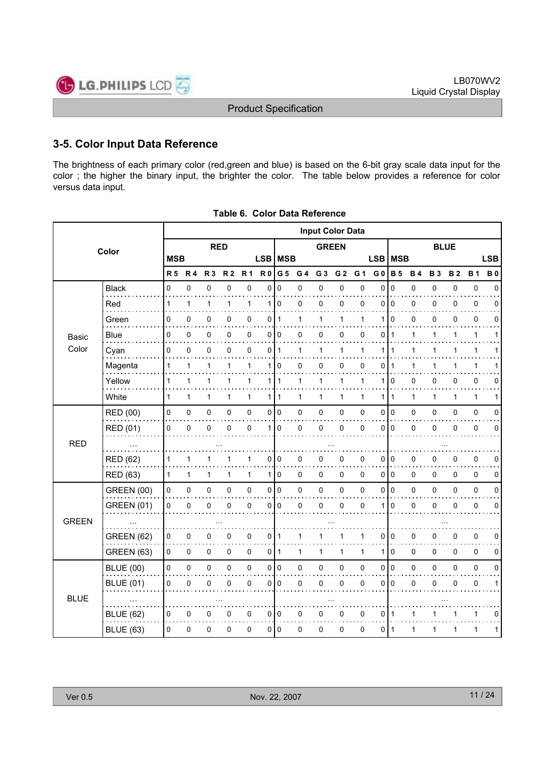

# **3-5. Color Input Data Reference**

The brightness of each primary color (red,green and blue) is based on the 6-bit gray scale data input for the color ; the higher the binary input, the brighter the color. The table below provides a reference for color versus data input.

|              |                   |            |             |                |                |              |                  |              | <b>Input Color Data</b> |                |                |                |                |              |           |             |           |              |            |
|--------------|-------------------|------------|-------------|----------------|----------------|--------------|------------------|--------------|-------------------------|----------------|----------------|----------------|----------------|--------------|-----------|-------------|-----------|--------------|------------|
|              | Color             |            |             | <b>RED</b>     |                |              |                  |              |                         | <b>GREEN</b>   |                |                |                |              |           | <b>BLUE</b> |           |              |            |
|              |                   | <b>MSB</b> |             |                |                |              | LSB <sup>I</sup> | <b>MSB</b>   |                         |                |                |                | <b>LSB</b>     | <b>MSB</b>   |           |             |           |              | <b>LSB</b> |
|              |                   | <b>R5</b>  | <b>R4</b>   | R <sub>3</sub> | R <sub>2</sub> | <b>R1</b>    | <b>R0</b>        | G 5          | G 4                     | G <sub>3</sub> | G <sub>2</sub> | G <sub>1</sub> | G <sub>0</sub> | <b>B</b> 5   | <b>B4</b> | <b>B3</b>   | <b>B2</b> | <b>B1</b>    | <b>B0</b>  |
|              | <b>Black</b>      | 0          | $\mathbf 0$ | 0              | 0              | 0            | 0                | $\mathbf 0$  | 0                       | 0              | $\mathsf 0$    | $\mathbf 0$    | $\mathbf 0$    | $\mathbf 0$  | 0         | 0           | 0         | $\pmb{0}$    | $\Omega$   |
|              | Red               | 1          | 1           | 1              | 1              | 1            | 1                | $\mathbf 0$  | 0                       | 0              | 0              | 0              | $\Omega$       | $\mathbf 0$  | 0         | 0           | 0         | 0            | 0          |
|              | Green             | 0          | 0           | 0              | 0              | 0            | 0                | $\mathbf{1}$ | 1                       | 1              | 1              | 1              | 1              | 0            | 0         | 0           | 0         | $\mathbf 0$  | 0          |
| Basic        | <b>Blue</b>       | 0          | 0           | 0              | 0              | 0            | 0                | 0            | 0                       | 0              | 0              | 0              | 0              | $\mathbf 1$  | 1         | 1           | 1         | $\mathbf{1}$ | 1          |
| Color        | Cyan              | 0          | $\mathbf 0$ | 0              | 0              | 0            | 0                | $\mathbf{1}$ | 1                       | 1              | 1              | 1              | 1              | 1            | 1         | 1           | 1         | $\mathbf{1}$ |            |
|              | Magenta           | 1          | 1           | 1              | 1              | 1            | 1                | $\Omega$     | 0                       | 0              | 0              | $\mathbf 0$    | $\Omega$       | 1            | 1         | 1           | 1         | 1            |            |
|              | Yellow            | 1          | 1           | 1              | 1              | 1            | $\mathbf{1}$     | $\mathbf{1}$ | 1                       | 1              | $\mathbf{1}$   | 1              | 1              | $\Omega$     | 0         | 0           | 0         | $\mathbf 0$  | 0          |
|              | White             | 1          | 1           | 1              | 1              | $\mathbf{1}$ | 1                | 1            | 1                       | 1              | 1              | 1              | 1              | $\mathbf{1}$ | 1         | 1           | 1         | $\mathbf{1}$ | 1          |
| <b>RED</b>   | RED (00)          | 0          | 0           | 0              | 0              | $\pmb{0}$    | 0                | 0            | 0                       | 0              | 0              | 0              | 0              | l o          | 0         | 0           | 0         | $\pmb{0}$    | 0          |
|              | <b>RED (01)</b>   | 0          | $\mathbf 0$ | 0              | 0              | 0            | 1                | 0            | 0                       | 0              | 0              | $\mathbf 0$    | 0              | $\Omega$     | 0         | 0           | 0         | 0            | 0          |
|              |                   |            |             |                |                |              |                  |              |                         |                |                |                |                |              |           |             |           |              |            |
|              | RED (62)          | 1          | 1           | 1              |                | 1            | 0                | 0            | 0                       | 0              | 0              | $\mathbf 0$    | $\Omega$       | 0            | 0         | 0           | 0         | $\mathbf 0$  | 0          |
|              | <b>RED (63)</b>   | 1          | 1           | 1              | 1              | $\mathbf{1}$ | 1                | 0            | 0                       | 0              | 0              | 0              | 0              | l o          | 0         | 0           | 0         | 0            | 0          |
|              | <b>GREEN (00)</b> | 0          | 0           | 0              | 0              | $\pmb{0}$    | 0                | $\pmb{0}$    | 0                       | $\pmb{0}$      | $\mathsf 0$    | 0              | 0              | l o          | 0         | 0           | 0         | $\pmb{0}$    | 0          |
|              | <b>GREEN (01)</b> | 0          | $\mathbf 0$ | 0              | 0              | 0            | 0                | 0            | 0                       | 0              | 0              | $\mathbf 0$    | 1              | $\Omega$     | 0         | 0           | 0         | 0            | 0          |
| <b>GREEN</b> |                   |            |             |                |                |              |                  |              |                         |                |                |                |                |              |           |             |           |              |            |
|              | <b>GREEN (62)</b> | 0          | 0           | 0              | 0              | 0            | 0                | $\mathbf{1}$ | 1                       | 1              | 1              | 1              | 0              | 0            | 0         | 0           | 0         | $\mathbf 0$  | 0          |
|              | GREEN (63)        | 0          | $\mathbf 0$ | 0              | 0              | 0            | 0                | $\mathbf{1}$ | 1                       | 1              | $\mathbf{1}$   | 1              | 1              | $\Omega$     | 0         | $\Omega$    | 0         | $\mathbf 0$  | 0          |
|              | <b>BLUE (00)</b>  | 0          | 0           | 0              | 0              | $\pmb{0}$    | 0                | $\pmb{0}$    | 0                       | 0              | $\mathsf 0$    | 0              | 0              | $\vert$ 0    | 0         | 0           | 0         | $\pmb{0}$    | 0          |
|              | <b>BLUE (01)</b>  | 0          | 0           | 0              | 0              | 0            | 0                | 0            | 0                       | 0              | 0              | $\mathbf 0$    | 0              | $\Omega$     | 0         | 0           | 0         | 0            | 1          |
| <b>BLUE</b>  |                   |            |             |                |                |              |                  |              |                         |                |                |                |                |              |           |             |           |              |            |
|              | <b>BLUE (62)</b>  | 0          | $\mathbf 0$ | 0              | 0              | 0            | 0                | 0            | 0                       | 0              | 0              | $\mathbf 0$    | 0              | -1           | 1         |             |           | 1            | 0          |
|              | <b>BLUE (63)</b>  | 0          | $\mathbf 0$ | 0              | 0              | $\mathbf 0$  | 0                | 0            | 0                       | 0              | 0              | 0              | 0              | l 1          | 1         | 1           | 1         | 1            | 1          |

**Table 6. Color Data Reference**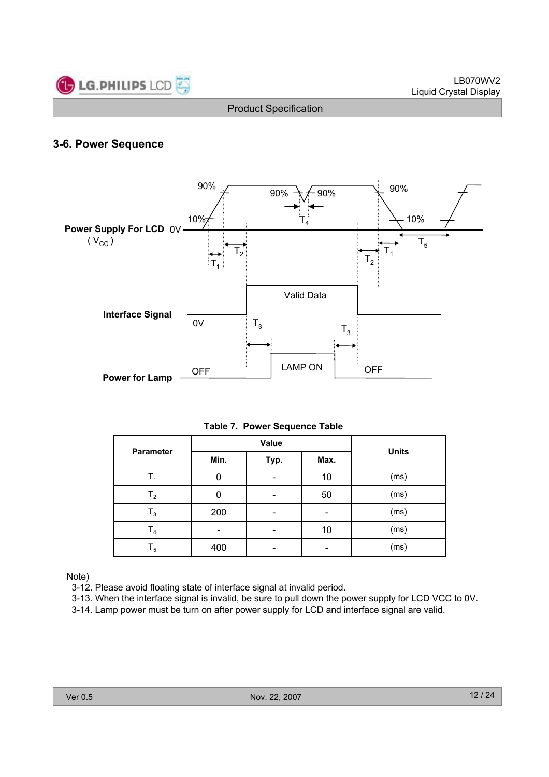

# **3-6. Power Sequence**



**Table 7. Power Sequence Table**

| <b>Parameter</b> |      | Value | <b>Units</b> |      |  |  |
|------------------|------|-------|--------------|------|--|--|
|                  | Min. | Typ.  | Max.         |      |  |  |
|                  | 0    |       | 10           | (ms) |  |  |
| $T_{2}$          | 0    | -     | 50           | (ms) |  |  |
| $\mathsf{T}_3$   | 200  |       | -            | (ms) |  |  |
| T <sub>4</sub>   |      |       | 10           | (ms) |  |  |
| $T_5$            | 400  |       |              | (ms) |  |  |

Note)

3-12. Please avoid floating state of interface signal at invalid period.

3-13. When the interface signal is invalid, be sure to pull down the power supply for LCD VCC to 0V.

3-14. Lamp power must be turn on after power supply for LCD and interface signal are valid.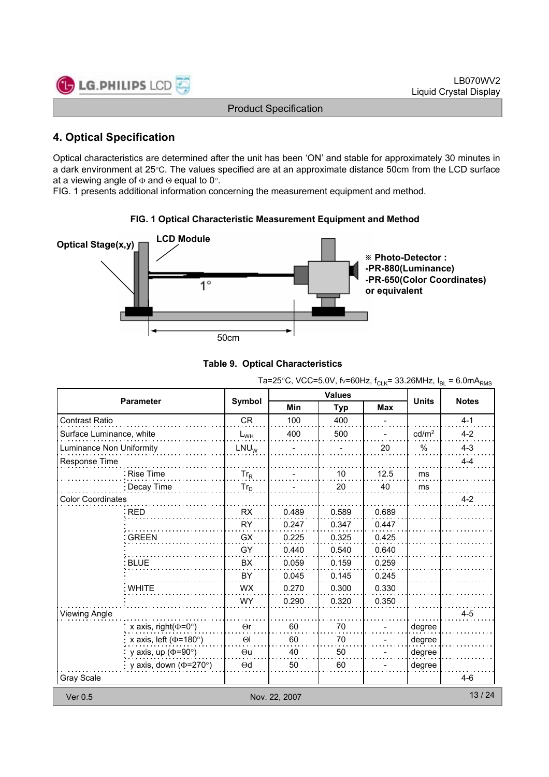

# **4. Optical Specification**

Optical characteristics are determined after the unit has been 'ON' and stable for approximately 30 minutes in a dark environment at 25°C. The values specified are at an approximate distance 50cm from the LCD surface at a viewing angle of  $\Phi$  and  $\Theta$  equal to 0°.

FIG. 1 presents additional information concerning the measurement equipment and method.



#### **FIG. 1 Optical Characteristic Measurement Equipment and Method**



|                          |                                     |                  |                          | <b>Values</b> |            |                   |              |
|--------------------------|-------------------------------------|------------------|--------------------------|---------------|------------|-------------------|--------------|
| <b>Parameter</b>         |                                     | Symbol           | <b>Min</b><br><b>Typ</b> |               | <b>Max</b> | <b>Units</b>      | <b>Notes</b> |
| Contrast Ratio           |                                     | <b>CR</b>        | 100                      | 400           |            |                   | $4 - 1$      |
| Surface Luminance, white |                                     | $L_{WH}$         | 400                      | 500           |            | cd/m <sup>2</sup> | $4 - 2$      |
| Luminance Non Uniformity |                                     | LNU <sub>W</sub> |                          |               | 20         | $\%$              | $4 - 3$      |
| Response Time            |                                     |                  |                          |               |            |                   | $4 - 4$      |
| Rise Time                |                                     | $Tr_R$           |                          | 10            | 12.5       | ms                |              |
|                          | Decay Time                          | $Tr_D$           |                          | 20            | 40         | ms                |              |
| <b>Color Coordinates</b> |                                     |                  |                          |               |            |                   | $4 - 2$      |
| <b>RED</b>               |                                     | <b>RX</b>        | 0.489                    | 0.589         | 0.689      |                   |              |
|                          |                                     | <b>RY</b>        | 0.247                    | 0.347         | 0.447      |                   |              |
| <b>GREEN</b>             |                                     | GX               | 0.225                    | 0.325         | 0.425      |                   |              |
|                          |                                     | GY               | 0.440                    | 0.540         | 0.640      |                   |              |
| <b>BLUE</b>              |                                     | <b>BX</b>        | 0.059                    | 0.159         | 0.259      |                   |              |
|                          |                                     | BY               | 0.045                    | 0.145         | 0.245      |                   |              |
| : WHITE                  |                                     | <b>WX</b>        | 0.270                    | 0.300         | 0.330      |                   |              |
|                          |                                     | <b>WY</b>        | 0.290                    | 0.320         | 0.350      |                   |              |
| <b>Viewing Angle</b>     |                                     |                  |                          |               |            |                   | $4 - 5$      |
|                          | x axis, right( $(\Phi = 0^{\circ})$ | $\Theta$ r       | 60                       | 70            |            | degree            |              |
|                          | x axis, left ( $\Phi$ =180°)        | $\Theta$         | 60                       | 70            |            | degree            |              |
|                          | y axis, up ( $\Phi$ =90°)           | $\Theta$ u       | 40                       | 50            |            | degree            |              |
|                          | y axis, down ( $\Phi$ =270°)        | $\Theta$ d       | 50                       | 60            |            | degree            |              |
| <b>Gray Scale</b>        |                                     |                  |                          |               |            |                   | $4-6$        |
| Ver 0.5                  |                                     |                  | Nov. 22, 2007            |               |            |                   | 13/24        |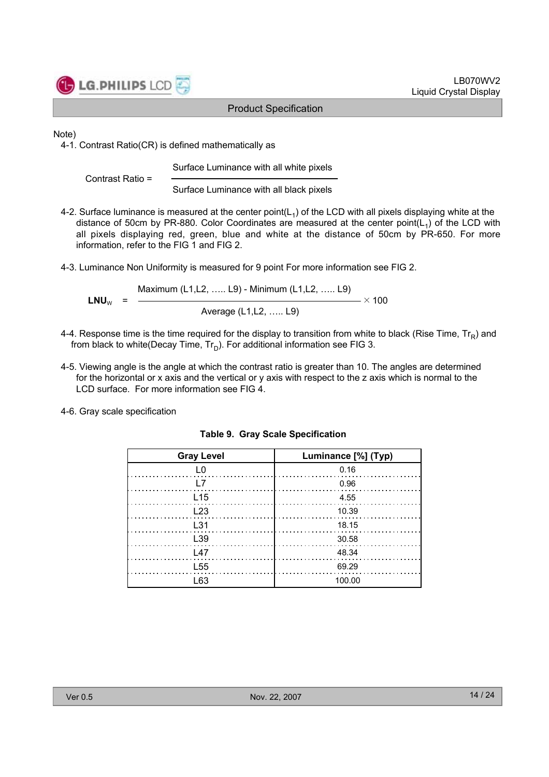

LB070WV2 Liquid Crystal Display

Product Specification

#### Note)

4-1. Contrast Ratio(CR) is defined mathematically as

Surface Luminance with all white pixels

Contrast Ratio =

Surface Luminance with all black pixels

- 4-2. Surface luminance is measured at the center point( $L_1$ ) of the LCD with all pixels displaying white at the distance of 50cm by PR-880. Color Coordinates are measured at the center point( $L_1$ ) of the LCD with all pixels displaying red, green, blue and white at the distance of 50cm by PR-650. For more information, refer to the FIG 1 and FIG 2.
- 4-3. Luminance Non Uniformity is measured for 9 point For more information see FIG 2.

$$
LNU_{w} = \frac{Maximum (L1, L2, ..... L9) - Minimum (L1, L2, ..... L9)}{\text{Average (L1, L2, ..... L9)}} \times 100
$$

- 4-4. Response time is the time required for the display to transition from white to black (Rise Time,  $Tr_R$ ) and from black to white(Decay Time,  $Tr_D$ ). For additional information see FIG 3.
- 4-5. Viewing angle is the angle at which the contrast ratio is greater than 10. The angles are determined for the horizontal or x axis and the vertical or y axis with respect to the z axis which is normal to the LCD surface. For more information see FIG 4.
- 4-6. Gray scale specification

| <b>Gray Level</b> | Luminance [%] (Typ)                        |
|-------------------|--------------------------------------------|
| L0                | 0.16                                       |
| $\perp$ 7         | $\begin{array}{c}0.96\\ \cdots\end{array}$ |
| L <sub>15</sub>   | 4.55                                       |
| L23               | 10.39<br>.                                 |
| L <sub>31</sub>   | $\frac{18.15}{2}$                          |
| L39               | 30.58                                      |
| L47               | 48.34                                      |
| L <sub>55</sub>   | 69.29                                      |
| L 63              | 100.00                                     |

|  |  |  | <b>Table 9. Gray Scale Specification</b> |
|--|--|--|------------------------------------------|
|--|--|--|------------------------------------------|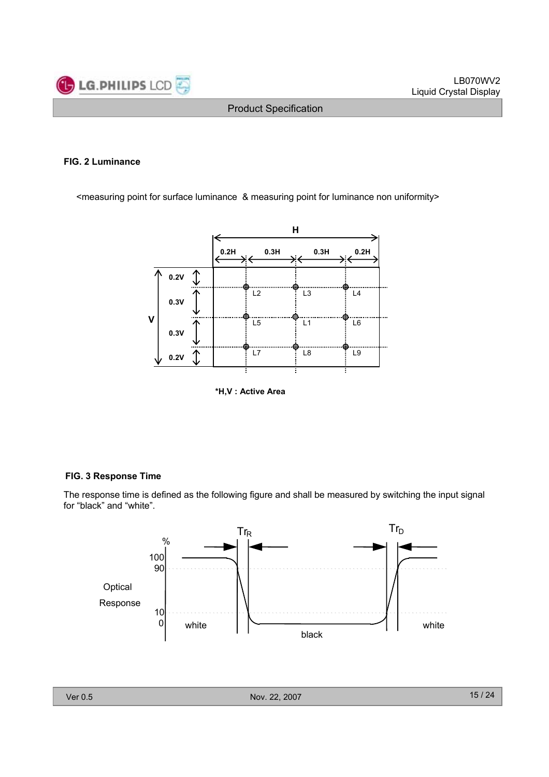

#### **FIG. 2 Luminance**

<measuring point for surface luminance & measuring point for luminance non uniformity>



**\*H,V : Active Area**

#### **FIG. 3 Response Time**

The response time is defined as the following figure and shall be measured by switching the input signal for "black" and "white".

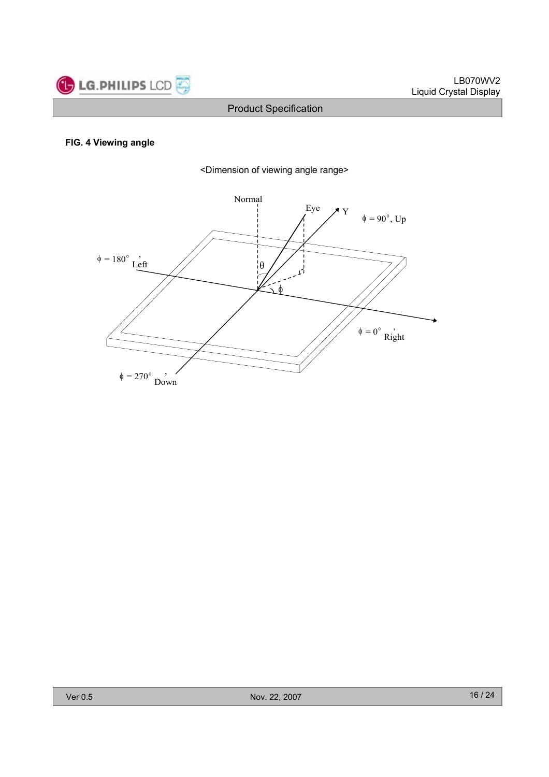

#### **FIG. 4 Viewing angle**



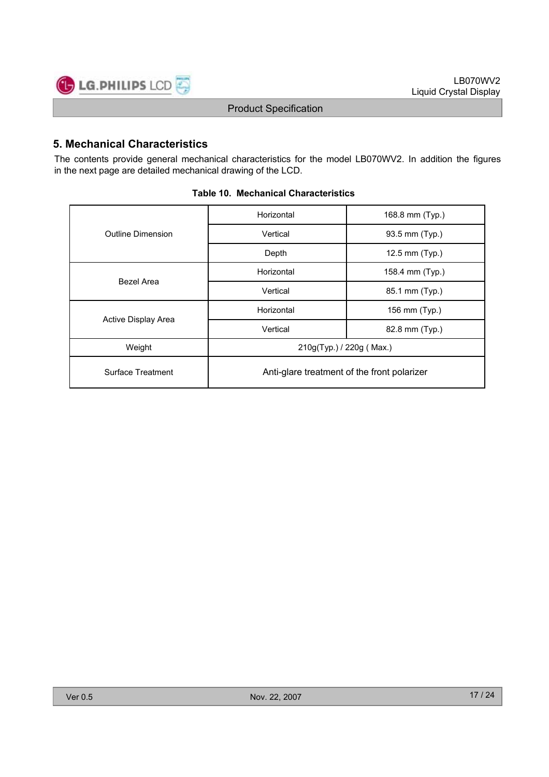

# **5. Mechanical Characteristics**

The contents provide general mechanical characteristics for the model LB070WV2. In addition the figures in the next page are detailed mechanical drawing of the LCD.

|                     | Horizontal                                  | 168.8 mm (Typ.) |  |  |  |  |
|---------------------|---------------------------------------------|-----------------|--|--|--|--|
| Outline Dimension   | Vertical                                    | 93.5 mm (Typ.)  |  |  |  |  |
|                     | Depth                                       | 12.5 mm (Typ.)  |  |  |  |  |
| <b>Bezel Area</b>   | Horizontal                                  | 158.4 mm (Typ.) |  |  |  |  |
|                     | Vertical                                    | 85.1 mm (Typ.)  |  |  |  |  |
|                     | Horizontal                                  | 156 mm (Typ.)   |  |  |  |  |
| Active Display Area | Vertical                                    | 82.8 mm (Typ.)  |  |  |  |  |
| Weight              | 210g(Typ.) / 220g (Max.)                    |                 |  |  |  |  |
| Surface Treatment   | Anti-glare treatment of the front polarizer |                 |  |  |  |  |

#### **Table 10. Mechanical Characteristics**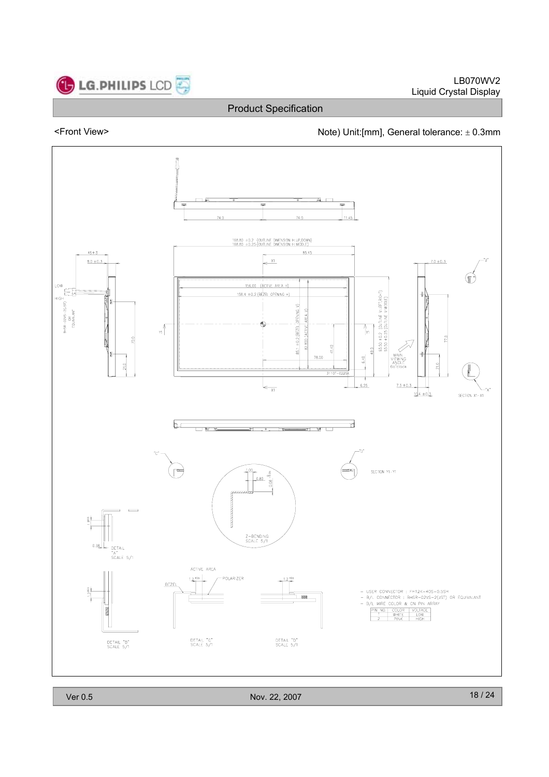

**C** LG.PHILIPS LCD

Product Specification

# <Front View><br>Note) Unit:[mm], General tolerance: ± 0.3mm



Ver 0.5 Nov. 22, 2007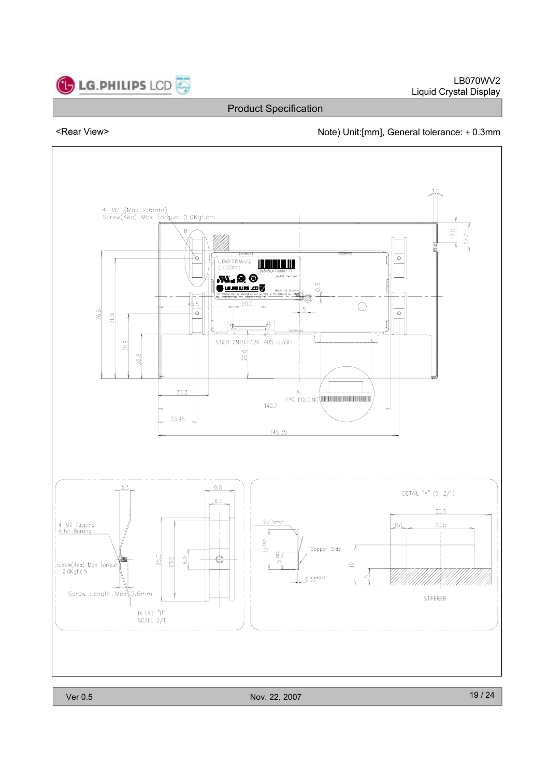

#### <Rear View>  $\blacksquare$  Note) Unit:[mm], General tolerance:  $\pm$  0.3mm

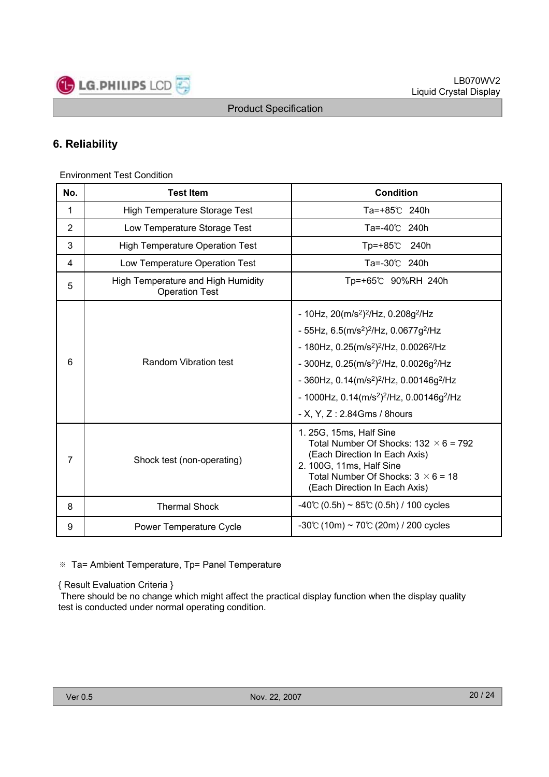

# **6. Reliability**

Environment Test Condition

| No.            | <b>Test Item</b>                                            | <b>Condition</b>                                                                                                                                                                                                                                                                                                                                                                                                                                                          |
|----------------|-------------------------------------------------------------|---------------------------------------------------------------------------------------------------------------------------------------------------------------------------------------------------------------------------------------------------------------------------------------------------------------------------------------------------------------------------------------------------------------------------------------------------------------------------|
| 1              | <b>High Temperature Storage Test</b>                        | Ta=+85℃ 240h                                                                                                                                                                                                                                                                                                                                                                                                                                                              |
| $\overline{2}$ | Low Temperature Storage Test                                | Ta=-40℃ 240h                                                                                                                                                                                                                                                                                                                                                                                                                                                              |
| 3              | <b>High Temperature Operation Test</b>                      | Tp=+85℃<br>240h                                                                                                                                                                                                                                                                                                                                                                                                                                                           |
| 4              | Low Temperature Operation Test                              | Ta=-30℃ 240h                                                                                                                                                                                                                                                                                                                                                                                                                                                              |
| 5              | High Temperature and High Humidity<br><b>Operation Test</b> | Tp=+65℃ 90%RH 240h                                                                                                                                                                                                                                                                                                                                                                                                                                                        |
| 6              | <b>Random Vibration test</b>                                | - 10Hz, $20(m/s^2)^2/Hz$ , 0.208g <sup>2</sup> /Hz<br>- 55Hz, $6.5(m/s^2)^2/Hz$ , 0.0677g <sup>2</sup> /Hz<br>- 180Hz, $0.25$ (m/s <sup>2</sup> ) <sup>2</sup> /Hz, $0.0026$ <sup>2</sup> /Hz<br>- 300Hz, $0.25$ (m/s <sup>2</sup> ) <sup>2</sup> /Hz, $0.0026$ g <sup>2</sup> /Hz<br>- 360Hz, $0.14$ (m/s <sup>2</sup> ) <sup>2</sup> /Hz, $0.00146g^2$ /Hz<br>- 1000Hz, $0.14$ (m/s <sup>2</sup> ) <sup>2</sup> /Hz, $0.00146g^2$ /Hz<br>- X, Y, Z: $2.84Gms / 8 hours$ |
| 7              | Shock test (non-operating)                                  | 1. 25G, 15ms, Half Sine<br>Total Number Of Shocks: $132 \times 6 = 792$<br>(Each Direction In Each Axis)<br>2. 100G, 11ms, Half Sine<br>Total Number Of Shocks: $3 \times 6 = 18$<br>(Each Direction In Each Axis)                                                                                                                                                                                                                                                        |
| 8              | <b>Thermal Shock</b>                                        | $-40^{\circ}$ (0.5h) ~ 85°C (0.5h) / 100 cycles                                                                                                                                                                                                                                                                                                                                                                                                                           |
| 9              | <b>Power Temperature Cycle</b>                              | $-30^{\circ}$ (10m) ~ 70 $\circ$ (20m) / 200 cycles                                                                                                                                                                                                                                                                                                                                                                                                                       |

※ Ta= Ambient Temperature, Tp= Panel Temperature

{ Result Evaluation Criteria }

There should be no change which might affect the practical display function when the display quality test is conducted under normal operating condition.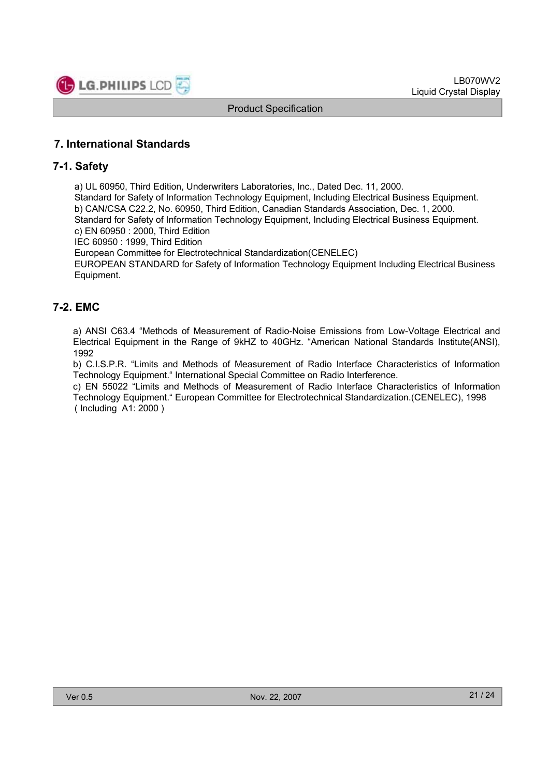

# **7. International Standards**

#### **7-1. Safety**

a) UL 60950, Third Edition, Underwriters Laboratories, Inc., Dated Dec. 11, 2000.

Standard for Safety of Information Technology Equipment, Including Electrical Business Equipment. b) CAN/CSA C22.2, No. 60950, Third Edition, Canadian Standards Association, Dec. 1, 2000. Standard for Safety of Information Technology Equipment, Including Electrical Business Equipment. c) EN 60950 : 2000, Third Edition

IEC 60950 : 1999, Third Edition

European Committee for Electrotechnical Standardization(CENELEC)

EUROPEAN STANDARD for Safety of Information Technology Equipment Including Electrical Business Equipment.

# **7-2. EMC**

a) ANSI C63.4 "Methods of Measurement of Radio-Noise Emissions from Low-Voltage Electrical and Electrical Equipment in the Range of 9kHZ to 40GHz. "American National Standards Institute(ANSI), 1992

b) C.I.S.P.R. "Limits and Methods of Measurement of Radio Interface Characteristics of Information Technology Equipment." International Special Committee on Radio Interference.

c) EN 55022 "Limits and Methods of Measurement of Radio Interface Characteristics of Information Technology Equipment." European Committee for Electrotechnical Standardization.(CENELEC), 1998 ( Including A1: 2000 )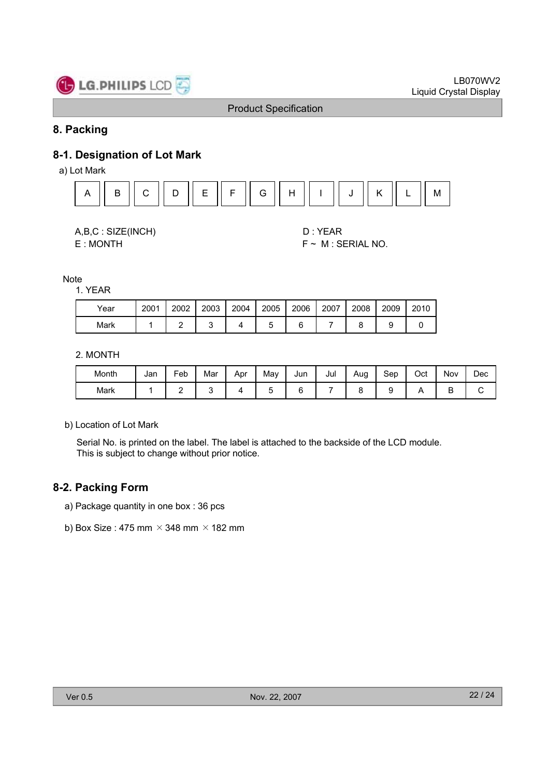

# **8. Packing**

# **8-1. Designation of Lot Mark**

a) Lot Mark





E : MONTH F ~ M : SERIAL NO.

Note

1. YEAR

| Year | 2001 | 2002 | 2003 | 2004 | 2005 | 2006 | 2007 | 2008 | 2009 | 2010 |
|------|------|------|------|------|------|------|------|------|------|------|
| Mark |      |      |      |      |      |      |      |      |      |      |

2. MONTH

| Month | Jan | $\overline{\phantom{0}}$<br><sup>⊏</sup> eb | Mar | Apr | May | Jun | Jul | Aug | Sep | Oct | Nov | Dec |
|-------|-----|---------------------------------------------|-----|-----|-----|-----|-----|-----|-----|-----|-----|-----|
| Mark  |     | -                                           |     |     |     |     |     |     |     |     | -   |     |

b) Location of Lot Mark

Serial No. is printed on the label. The label is attached to the backside of the LCD module. This is subject to change without prior notice.

#### **8-2. Packing Form**

- a) Package quantity in one box : 36 pcs
- b) Box Size : 475 mm  $\times$  348 mm  $\times$  182 mm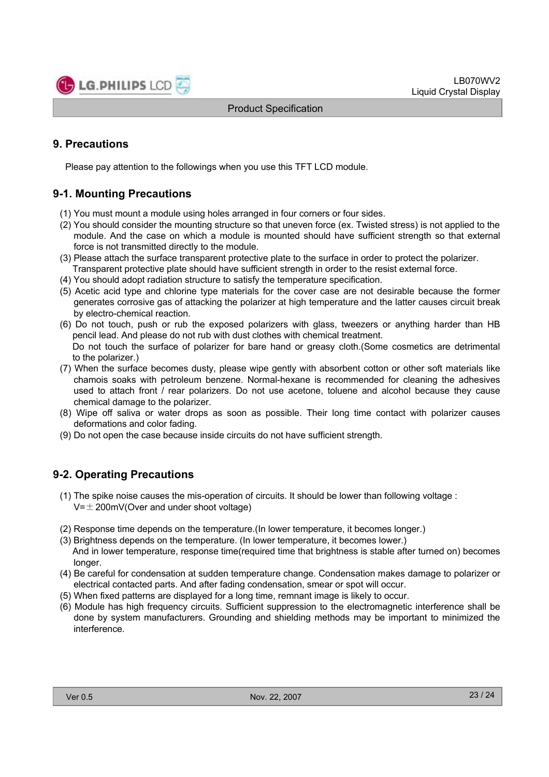

# **9. Precautions**

Please pay attention to the followings when you use this TFT LCD module.

# **9-1. Mounting Precautions**

- (1) You must mount a module using holes arranged in four corners or four sides.
- (2) You should consider the mounting structure so that uneven force (ex. Twisted stress) is not applied to the module. And the case on which a module is mounted should have sufficient strength so that external force is not transmitted directly to the module.
- (3) Please attach the surface transparent protective plate to the surface in order to protect the polarizer. Transparent protective plate should have sufficient strength in order to the resist external force.
- (4) You should adopt radiation structure to satisfy the temperature specification.
- (5) Acetic acid type and chlorine type materials for the cover case are not desirable because the former generates corrosive gas of attacking the polarizer at high temperature and the latter causes circuit break by electro-chemical reaction.
- (6) Do not touch, push or rub the exposed polarizers with glass, tweezers or anything harder than HB pencil lead. And please do not rub with dust clothes with chemical treatment. Do not touch the surface of polarizer for bare hand or greasy cloth.(Some cosmetics are detrimental to the polarizer.)
- (7) When the surface becomes dusty, please wipe gently with absorbent cotton or other soft materials like chamois soaks with petroleum benzene. Normal-hexane is recommended for cleaning the adhesives used to attach front / rear polarizers. Do not use acetone, toluene and alcohol because they cause chemical damage to the polarizer.
- (8) Wipe off saliva or water drops as soon as possible. Their long time contact with polarizer causes deformations and color fading.
- (9) Do not open the case because inside circuits do not have sufficient strength.

# **9-2. Operating Precautions**

- (1) The spike noise causes the mis-operation of circuits. It should be lower than following voltage :  $V=\pm 200$ mV(Over and under shoot voltage)
- (2) Response time depends on the temperature.(In lower temperature, it becomes longer.)
- (3) Brightness depends on the temperature. (In lower temperature, it becomes lower.) And in lower temperature, response time(required time that brightness is stable after turned on) becomes longer.
- (4) Be careful for condensation at sudden temperature change. Condensation makes damage to polarizer or electrical contacted parts. And after fading condensation, smear or spot will occur.
- (5) When fixed patterns are displayed for a long time, remnant image is likely to occur.
- (6) Module has high frequency circuits. Sufficient suppression to the electromagnetic interference shall be done by system manufacturers. Grounding and shielding methods may be important to minimized the interference.